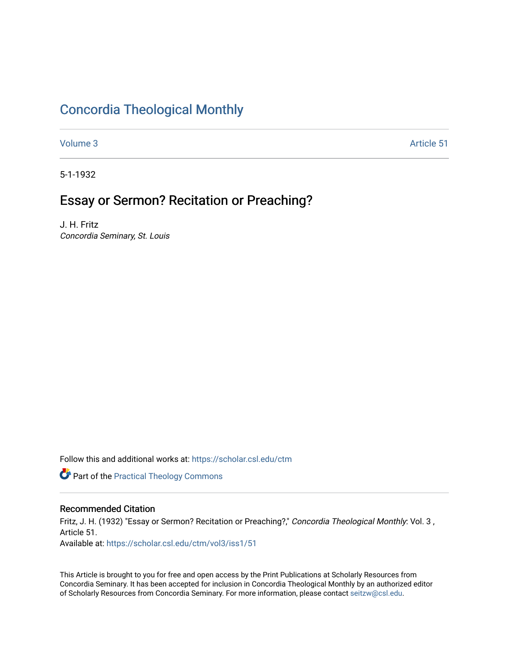# [Concordia Theological Monthly](https://scholar.csl.edu/ctm)

[Volume 3](https://scholar.csl.edu/ctm/vol3) Article 51

5-1-1932

# Essay or Sermon? Recitation or Preaching?

J. H. Fritz Concordia Seminary, St. Louis

Follow this and additional works at: [https://scholar.csl.edu/ctm](https://scholar.csl.edu/ctm?utm_source=scholar.csl.edu%2Fctm%2Fvol3%2Fiss1%2F51&utm_medium=PDF&utm_campaign=PDFCoverPages)

**Part of the [Practical Theology Commons](http://network.bepress.com/hgg/discipline/1186?utm_source=scholar.csl.edu%2Fctm%2Fvol3%2Fiss1%2F51&utm_medium=PDF&utm_campaign=PDFCoverPages)** 

## Recommended Citation

Fritz, J. H. (1932) "Essay or Sermon? Recitation or Preaching?," Concordia Theological Monthly: Vol. 3, Article 51.

Available at: [https://scholar.csl.edu/ctm/vol3/iss1/51](https://scholar.csl.edu/ctm/vol3/iss1/51?utm_source=scholar.csl.edu%2Fctm%2Fvol3%2Fiss1%2F51&utm_medium=PDF&utm_campaign=PDFCoverPages)

This Article is brought to you for free and open access by the Print Publications at Scholarly Resources from Concordia Seminary. It has been accepted for inclusion in Concordia Theological Monthly by an authorized editor of Scholarly Resources from Concordia Seminary. For more information, please contact [seitzw@csl.edu](mailto:seitzw@csl.edu).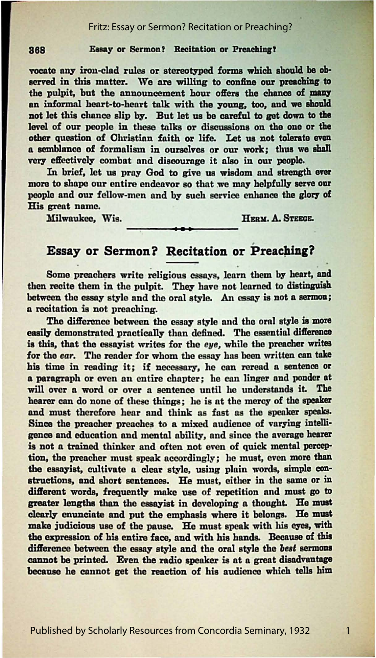#### Fritz: Essay or Sermon? Recitation or Preaching?

#### 368

Essay or Sermon? Recitation or Preaching?

vocate any iron-clad rules or stereotyped forms which should be observed in this matter. We are willing to confine our preaching to the pulpit, but the announcement hour offers the chance of many an informal heart-to-heart talk with the young, too, and we should not let this chance slip by. But let us be careful to get down to the level of our people in these talks or discussions on the one or the other question of Christian faith or life. Let us not tolerate even a semblance of formalism in ourselves or our work; thus we shall very effectively combat and discourage it also in our people.

In brief, let us pray God to give us wisdom and strength ever more to shape our entire endeavor so that we may helpfully serve our people and our fellow-men and by such service enhance the glory of His great name.

Milwaukee, Wis.

HERM. A. STEEGE.

### Essay or Sermon? Recitation or Preaching?

Some preachers write religious essays, learn them by heart, and then recite them in the pulpit. They have not learned to distinguish between the essay style and the oral style. An essay is not a sermon; a recitation is not preaching.

The difference between the essay style and the oral style is more easily demonstrated practically than defined. The essential difference is this, that the essayist writes for the eye, while the preacher writes for the ear. The reader for whom the essay has been written can take his time in reading it: if necessary, he can reread a sentence or a paragraph or even an entire chapter: he can linger and ponder at will over a word or over a sentence until he understands it. The hearer can do none of these things; he is at the mercy of the speaker and must therefore hear and think as fast as the speaker speaks. Since the preacher preaches to a mixed audience of varying intelligence and education and mental ability, and since the average hearer is not a trained thinker and often not even of quick mental perception, the preacher must speak accordingly; he must, even more than the essayist, cultivate a clear style, using plain words, simple constructions, and short sentences. He must, either in the same or in different words, frequently make use of repetition and must go to greater lengths than the essayist in developing a thought. He must clearly enunciate and put the emphasis where it belongs. He must make judicious use of the pause. He must speak with his eyes, with the expression of his entire face, and with his hands. Because of this difference between the essay style and the oral style the best sermons cannot be printed. Even the radio speaker is at a great disadvantage because he cannot get the reaction of his audience which tells him

 $\mathbf{1}$